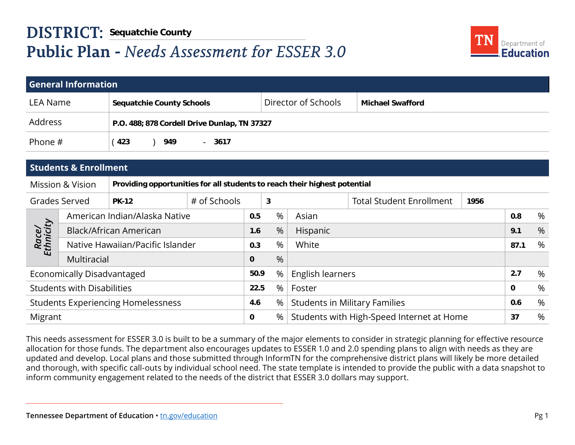

|                                           |                                                     | <b>DISTRICT: Sequatchie County</b>                                        |              |     |                                           |                                                |                                   |      |      |  |
|-------------------------------------------|-----------------------------------------------------|---------------------------------------------------------------------------|--------------|-----|-------------------------------------------|------------------------------------------------|-----------------------------------|------|------|--|
|                                           | <b>Public Plan - Needs Assessment for ESSER 3.0</b> |                                                                           |              |     |                                           |                                                | Department of<br><b>Education</b> |      |      |  |
|                                           |                                                     |                                                                           |              |     |                                           |                                                |                                   |      |      |  |
|                                           | <b>General Information</b>                          |                                                                           |              |     |                                           |                                                |                                   |      |      |  |
| <b>LEA Name</b>                           |                                                     | <b>Sequatchie County Schools</b>                                          |              |     |                                           | Director of Schools<br><b>Michael Swafford</b> |                                   |      |      |  |
| Address                                   |                                                     | P.O. 488; 878 Cordell Drive Dunlap, TN 37327                              |              |     |                                           |                                                |                                   |      |      |  |
| Phone #                                   |                                                     | (423)<br>949<br>$-3617$                                                   |              |     |                                           |                                                |                                   |      |      |  |
|                                           |                                                     |                                                                           |              |     |                                           |                                                |                                   |      |      |  |
|                                           | <b>Students &amp; Enrollment</b>                    |                                                                           |              |     |                                           |                                                |                                   |      |      |  |
|                                           | <b>Mission &amp; Vision</b>                         | Providing opportunities for all students to reach their highest potential |              |     |                                           |                                                |                                   |      |      |  |
| Grades Served                             |                                                     | <b>PK-12</b>                                                              | # of Schools |     | 3                                         |                                                | <b>Total Student Enrollment</b>   | 1956 |      |  |
|                                           | American Indian/Alaska Native                       |                                                                           |              | 0.5 | %                                         | Asian                                          |                                   | 0.8  | %    |  |
|                                           |                                                     | Black/African American                                                    |              |     | %                                         | Hispanic                                       |                                   | 9.1  | $\%$ |  |
| Race/<br>Ethnicity                        | Native Hawaiian/Pacific Islander                    |                                                                           |              | 0.3 | %                                         | White                                          |                                   | 87.1 | %    |  |
|                                           | Multiracial                                         |                                                                           |              | 0   | %                                         |                                                |                                   |      |      |  |
| Economically Disadvantaged                |                                                     |                                                                           | 50.9         | %   | English learners                          |                                                | 2.7                               | %    |      |  |
| <b>Students with Disabilities</b>         |                                                     |                                                                           | 22.5         | %   | Foster                                    |                                                | $\Omega$                          | $\%$ |      |  |
| <b>Students Experiencing Homelessness</b> |                                                     |                                                                           | 4.6          | %   | <b>Students in Military Families</b>      |                                                | 0.6                               | %    |      |  |
| Migrant                                   |                                                     |                                                                           | 0            | %   | Students with High-Speed Internet at Home |                                                |                                   | 37   | %    |  |
|                                           |                                                     |                                                                           |              |     |                                           |                                                |                                   |      |      |  |

This needs assessment for ESSER 3.0 is built to be a summary of the major elements to consider in strategic planning for effective resource allocation for those funds. The department also encourages updates to ESSER 1.0 and 2.0 spending plans to align with needs as they are updated and develop. Local plans and those submitted through InformTN for the comprehensive district plans will likely be more detailed and thorough, with specific call-outs by individual school need. The state template is intended to provide the public with a data snapshot to inform community engagement related to the needs of the district that ESSER 3.0 dollars may support.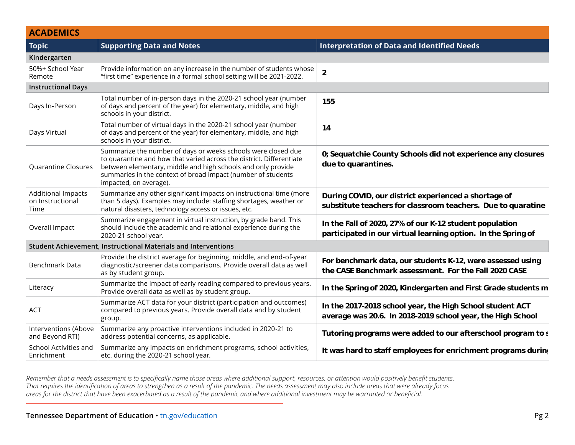| <b>ACADEMICS</b>                                      |                                                                                                                                                                                                                                                                                                 |                                                                                                                          |
|-------------------------------------------------------|-------------------------------------------------------------------------------------------------------------------------------------------------------------------------------------------------------------------------------------------------------------------------------------------------|--------------------------------------------------------------------------------------------------------------------------|
| Topic                                                 | <b>Supporting Data and Notes</b>                                                                                                                                                                                                                                                                | Interpretation of Data and Identified Needs                                                                              |
| Kindergarten                                          |                                                                                                                                                                                                                                                                                                 |                                                                                                                          |
| 50%+ School Year<br>Remote                            | Provide information on any increase in the number of students whose $\begin{array}{ c } \mathbf{a} \end{array}$<br>"first time" experience in a formal school setting will be 2021-2022.                                                                                                        |                                                                                                                          |
| <b>Instructional Days</b>                             |                                                                                                                                                                                                                                                                                                 |                                                                                                                          |
| Days In-Person                                        | Total number of in-person days in the 2020-21 school year (number<br>of days and percent of the year) for elementary, middle, and high<br>schools in your district.                                                                                                                             | 155                                                                                                                      |
| Days Virtual                                          | Total number of virtual days in the 2020-21 school year (number<br>$\vert$ of days and percent of the year) for elementary, middle, and high<br>schools in your district.                                                                                                                       | 14                                                                                                                       |
| Quarantine Closures                                   | Summarize the number of days or weeks schools were closed due<br>to quarantine and how that varied across the district. Differentiate<br>between elementary, middle and high schools and only provide<br>summaries in the context of broad impact (number of students<br>impacted, on average). | 0; Sequatchie County Schools did not experience any closures<br>due to quarantines.                                      |
| <b>Additional Impacts</b><br>on Instructional<br>Time | Summarize any other significant impacts on instructional time (more<br>than 5 days). Examples may include: staffing shortages, weather or<br>natural disasters, technology access or issues, etc.                                                                                               | During COVID, our district experienced a shortage of<br>substitute teachers for classroom teachers. Due to quaratine     |
| Overall Impact                                        | Summarize engagement in virtual instruction, by grade band. This<br>should include the academic and relational experience during the<br>2020-21 school year.                                                                                                                                    | In the Fall of 2020, 27% of our K-12 student population<br>participated in our virtual learning option. In the Spring of |
|                                                       | Student Achievement, Instructional Materials and Interventions                                                                                                                                                                                                                                  |                                                                                                                          |
| Benchmark Data                                        | Provide the district average for beginning, middle, and end-of-year<br>diagnostic/screener data comparisons. Provide overall data as well<br>as by student group.                                                                                                                               | For benchmark data, our students K-12, were assessed using<br>the CASE Benchmark assessment. For the Fall 2020 CASE      |
| Literacy                                              | Summarize the impact of early reading compared to previous year<br>Provide overall data as well as by student group.                                                                                                                                                                            | In the Spring of 2020, Kindergarten and First Grade students m                                                           |
| <b>ACT</b>                                            | Summarize ACT data for your district (participation and outcomes)<br>compared to previous years. Provide overall data and by student<br>group.                                                                                                                                                  | In the 2017-2018 school year, the High School student ACT<br>average was 20.6. In 2018-2019 school year, the High School |
| Interventions (Above<br>and Beyond RTI)               | Summarize any proactive interventions included in 2020-21 to<br>address potential concerns, as applicable.                                                                                                                                                                                      | Tutoring programs were added to our afterschool program to s                                                             |
| School Activities and<br>Enrichment                   | Summarize any impacts on enrichment programs, school activities,<br>etc. during the 2020-21 school year.                                                                                                                                                                                        | It was hard to staff employees for enrichment programs during                                                            |

*Remember that a needs assessment is to specifically name those areas where additional support, resources, or attention would positively benefit students. That requires the identification of areas to strengthen as a result of the pandemic. The needs assessment may also include areas that were already focus areas for the district that have been exacerbated as a result of the pandemic and where additional investment may be warranted or beneficial.*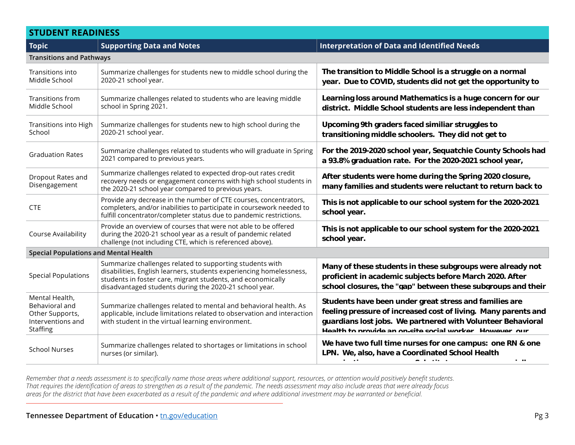### **STUDENT READINESS**

| <b>Topic</b>                                                                         | <b>Supporting Data and Notes</b>                                                                                                                                                                                                                         | <b>Interpretation of Data and Identified Needs</b>                                                                                                                                                                                                |  |  |
|--------------------------------------------------------------------------------------|----------------------------------------------------------------------------------------------------------------------------------------------------------------------------------------------------------------------------------------------------------|---------------------------------------------------------------------------------------------------------------------------------------------------------------------------------------------------------------------------------------------------|--|--|
| <b>Transitions and Pathways</b>                                                      |                                                                                                                                                                                                                                                          |                                                                                                                                                                                                                                                   |  |  |
| Transitions into<br>Middle School                                                    | Summarize challenges for students new to middle school during the<br>2020-21 school year.                                                                                                                                                                | The transition to Middle School is a struggle on a normal<br>year. Due to COVID, students did not get the opportunity to                                                                                                                          |  |  |
| Transitions from<br>Middle School                                                    | Summarize challenges related to students who are leaving middle<br>school in Spring 2021.                                                                                                                                                                | Learning loss around Mathematics is a huge concern for our<br>district. Middle School students are less independent than                                                                                                                          |  |  |
| Transitions into High<br>School                                                      | Summarize challenges for students new to high school during the<br>2020-21 school year.                                                                                                                                                                  | Upcoming 9th graders faced similiar struggles to<br>transitioning middle schoolers. They did not get to                                                                                                                                           |  |  |
| <b>Graduation Rates</b>                                                              | Summarize challenges related to students who will graduate in Spring<br>2021 compared to previous years.                                                                                                                                                 | For the 2019-2020 school year, Sequatchie County Schools had<br>a 93.8% graduation rate. For the 2020-2021 school year,                                                                                                                           |  |  |
| Dropout Rates and<br>Disengagement                                                   | Summarize challenges related to expected drop-out rates credit<br>recovery needs or engagement concerns with high school students in<br>the 2020-21 school year compared to previous years.                                                              | After students were home during the Spring 2020 closure,<br>many families and students were reluctant to return back to                                                                                                                           |  |  |
| <b>CTE</b>                                                                           | Provide any decrease in the number of CTE courses, concentrators,<br>completers, and/or inabilities to participate in coursework needed to<br>fulfill concentrator/completer status due to pandemic restrictions.                                        | This is not applicable to our school system for the 2020-2021<br>school year.                                                                                                                                                                     |  |  |
| Course Availability                                                                  | Provide an overview of courses that were not able to be offered<br>during the 2020-21 school year as a result of pandemic related<br>challenge (not including CTE, which is referenced above).                                                           | This is not applicable to our school system for the 2020-2021<br>school year.                                                                                                                                                                     |  |  |
| <b>Special Populations and Mental Health</b>                                         |                                                                                                                                                                                                                                                          |                                                                                                                                                                                                                                                   |  |  |
| <b>Special Populations</b>                                                           | Summarize challenges related to supporting students with<br>disabilities, English learners, students experiencing homelessness,<br>students in foster care, migrant students, and economically<br>disadvantaged students during the 2020-21 school year. | Many of these students in these subgroups were already not<br>proficient in academic subjects before March 2020. After<br>school closures, the "gap" between these subgroups and their                                                            |  |  |
| Mental Health,<br>Behavioral and<br>Other Supports,<br>Interventions and<br>Staffing | Summarize challenges related to mental and behavioral health. As<br>applicable, include limitations related to observation and interaction<br>with student in the virtual learning environment.                                                          | Students have been under great stress and families are<br>feeling pressure of increased cost of living. Many parents and<br>guardians lost jobs. We partnered with Volunteer Behavioral<br>Health to provide an on-site social worker However our |  |  |
| <b>School Nurses</b>                                                                 | Summarize challenges related to shortages or limitations in school<br>nurses (or similar).                                                                                                                                                               | We have two full time nurses for one campus: one RN & one<br>LPN. We, also, have a Coordinated School Health<br><b>A.</b><br>$\sim$ 100 $\pm$                                                                                                     |  |  |

*Remember that a needs assessment is to specifically name those areas where additional support, resources, or attention would positively benefit students. That requires the identification of areas to strengthen as a result of the pandemic. The needs assessment may also include areas that were already focus areas for the district that have been exacerbated as a result of the pandemic and where additional investment may be warranted or beneficial.* **difficult to find.**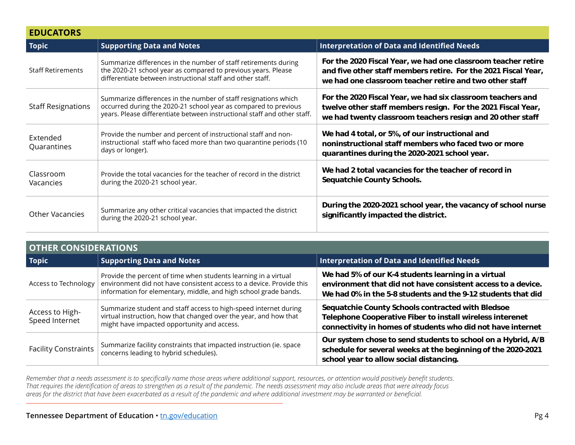| <b>EDUCATORS</b>          |                                                                                                                                                                                                                |                                                                                                                                                                                            |  |
|---------------------------|----------------------------------------------------------------------------------------------------------------------------------------------------------------------------------------------------------------|--------------------------------------------------------------------------------------------------------------------------------------------------------------------------------------------|--|
| <b>Topic</b>              | <b>Supporting Data and Notes</b>                                                                                                                                                                               | <b>Interpretation of Data and Identified Needs</b>                                                                                                                                         |  |
| <b>Staff Retirements</b>  | Summarize differences in the number of staff retirements during<br>the 2020-21 school year as compared to previous years. Please<br>differentiate between instructional staff and other staff.                 | For the 2020 Fiscal Year, we had one classroom teacher retire<br>and five other staff members retire. For the 2021 Fiscal Year,<br>we had one classroom teacher retire and two other staff |  |
| <b>Staff Resignations</b> | Summarize differences in the number of staff resignations which<br>occurred during the 2020-21 school year as compared to previous<br>years. Please differentiate between instructional staff and other staff. | For the 2020 Fiscal Year, we had six classroom teachers and<br>twelve other staff members resign. For the 2021 Fiscal Year,<br>we had twenty classroom teachers resign and 20 other staff  |  |
| Extended<br>Quarantines   | Provide the number and percent of instructional staff and non-<br>instructional staff who faced more than two quarantine periods (10<br>days or longer).                                                       | We had 4 total, or 5%, of our instructional and<br>noninstructional staff members who faced two or more<br>quarantines during the 2020-2021 school year.                                   |  |
| Classroom<br>Vacancies    | Provide the total vacancies for the teacher of record in the district<br>during the 2020-21 school year.                                                                                                       | We had 2 total vacancies for the teacher of record in<br>Sequatchie County Schools.                                                                                                        |  |
| <b>Other Vacancies</b>    | Summarize any other critical vacancies that impacted the district<br>during the 2020-21 school year.                                                                                                           | During the 2020-2021 school year, the vacancy of school nurse<br>significantly impacted the district.                                                                                      |  |

| <b>OTHER CONSIDERATIONS</b>       |                                                                                                                                                                                                             |                                                                                                                                                                                     |  |  |
|-----------------------------------|-------------------------------------------------------------------------------------------------------------------------------------------------------------------------------------------------------------|-------------------------------------------------------------------------------------------------------------------------------------------------------------------------------------|--|--|
| <b>Topic</b>                      | <b>Supporting Data and Notes</b>                                                                                                                                                                            | Interpretation of Data and Identified Needs                                                                                                                                         |  |  |
| Access to Technology              | Provide the percent of time when students learning in a virtual<br>environment did not have consistent access to a device. Provide this<br>information for elementary, middle, and high school grade bands. | We had 5% of our K-4 students learning in a virtual<br>environment that did not have consistent access to a device.<br>We had 0% in the 5-8 students and the 9-12 students that did |  |  |
| Access to High-<br>Speed Internet | Summarize student and staff access to high-speed internet during<br>virtual instruction, how that changed over the year, and how that<br>might have impacted opportunity and access.                        | Sequatchie County Schools contracted with Bledsoe<br>Telephone Cooperative Fiber to install wireless interenet<br>connectivity in homes of students who did not have internet       |  |  |
| <b>Facility Constraints</b>       | Summarize facility constraints that impacted instruction (ie. space<br>concerns leading to hybrid schedules).                                                                                               | Our system chose to send students to school on a Hybrid, A/B<br>schedule for several weeks at the beginning of the 2020-2021<br>school year to allow social distancing.             |  |  |

*Remember that a needs assessment is to specifically name those areas where additional support, resources, or attention would positively benefit students. That requires the identification of areas to strengthen as a result of the pandemic. The needs assessment may also include areas that were already focus areas for the district that have been exacerbated as a result of the pandemic and where additional investment may be warranted or beneficial.*